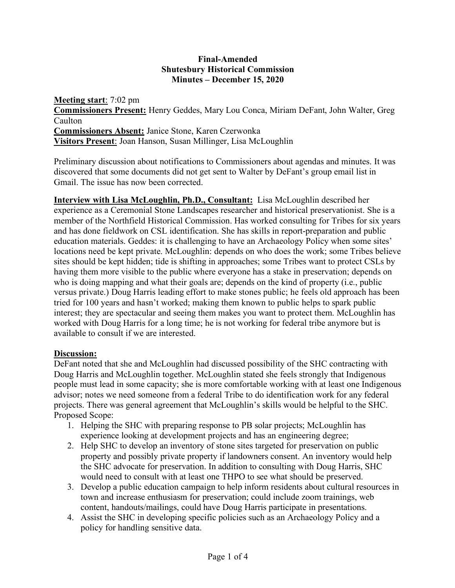## **Final-Amended Shutesbury Historical Commission Minutes – December 15, 2020**

**Meeting start**: 7:02 pm **Commissioners Present:** Henry Geddes, Mary Lou Conca, Miriam DeFant, John Walter, Greg Caulton **Commissioners Absent:** Janice Stone, Karen Czerwonka **Visitors Present**: Joan Hanson, Susan Millinger, Lisa McLoughlin

Preliminary discussion about notifications to Commissioners about agendas and minutes. It was discovered that some documents did not get sent to Walter by DeFant's group email list in Gmail. The issue has now been corrected.

**Interview with Lisa McLoughlin, Ph.D., Consultant:** Lisa McLoughlin described her experience as a Ceremonial Stone Landscapes researcher and historical preservationist. She is a member of the Northfield Historical Commission. Has worked consulting for Tribes for six years and has done fieldwork on CSL identification. She has skills in report-preparation and public education materials. Geddes: it is challenging to have an Archaeology Policy when some sites' locations need be kept private. McLoughlin: depends on who does the work; some Tribes believe sites should be kept hidden; tide is shifting in approaches; some Tribes want to protect CSLs by having them more visible to the public where everyone has a stake in preservation; depends on who is doing mapping and what their goals are; depends on the kind of property (i.e., public versus private.) Doug Harris leading effort to make stones public; he feels old approach has been tried for 100 years and hasn't worked; making them known to public helps to spark public interest; they are spectacular and seeing them makes you want to protect them. McLoughlin has worked with Doug Harris for a long time; he is not working for federal tribe anymore but is available to consult if we are interested.

## **Discussion:**

DeFant noted that she and McLoughlin had discussed possibility of the SHC contracting with Doug Harris and McLoughlin together. McLoughlin stated she feels strongly that Indigenous people must lead in some capacity; she is more comfortable working with at least one Indigenous advisor; notes we need someone from a federal Tribe to do identification work for any federal projects. There was general agreement that McLoughlin's skills would be helpful to the SHC. Proposed Scope:

- 1. Helping the SHC with preparing response to PB solar projects; McLoughlin has experience looking at development projects and has an engineering degree;
- 2. Help SHC to develop an inventory of stone sites targeted for preservation on public property and possibly private property if landowners consent. An inventory would help the SHC advocate for preservation. In addition to consulting with Doug Harris, SHC would need to consult with at least one THPO to see what should be preserved.
- 3. Develop a public education campaign to help inform residents about cultural resources in town and increase enthusiasm for preservation; could include zoom trainings, web content, handouts/mailings, could have Doug Harris participate in presentations.
- 4. Assist the SHC in developing specific policies such as an Archaeology Policy and a policy for handling sensitive data.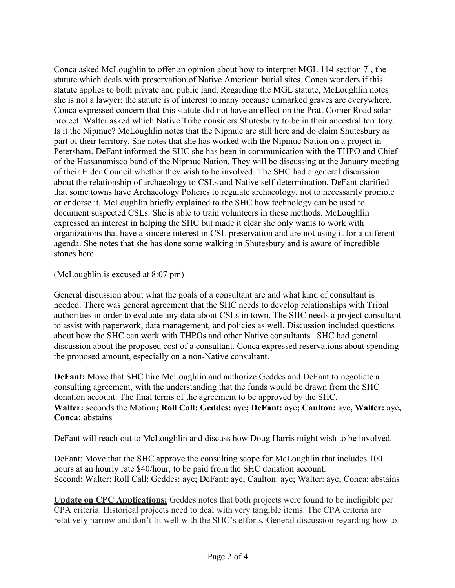Conca asked McLoughlin to offer an opinion about how to interpret MGL 114 section 7<sup>1</sup>, the statute which deals with preservation of Native American burial sites. Conca wonders if this statute applies to both private and public land. Regarding the MGL statute, McLoughlin notes she is not a lawyer; the statute is of interest to many because unmarked graves are everywhere. Conca expressed concern that this statute did not have an effect on the Pratt Corner Road solar project. Walter asked which Native Tribe considers Shutesbury to be in their ancestral territory. Is it the Nipmuc? McLoughlin notes that the Nipmuc are still here and do claim Shutesbury as part of their territory. She notes that she has worked with the Nipmuc Nation on a project in Petersham. DeFant informed the SHC she has been in communication with the THPO and Chief of the Hassanamisco band of the Nipmuc Nation. They will be discussing at the January meeting of their Elder Council whether they wish to be involved. The SHC had a general discussion about the relationship of archaeology to CSLs and Native self-determination. DeFant clarified that some towns have Archaeology Policies to regulate archaeology, not to necessarily promote or endorse it. McLoughlin briefly explained to the SHC how technology can be used to document suspected CSLs. She is able to train volunteers in these methods. McLoughlin expressed an interest in helping the SHC but made it clear she only wants to work with organizations that have a sincere interest in CSL preservation and are not using it for a different agenda. She notes that she has done some walking in Shutesbury and is aware of incredible stones here.

(McLoughlin is excused at 8:07 pm)

General discussion about what the goals of a consultant are and what kind of consultant is needed. There was general agreement that the SHC needs to develop relationships with Tribal authorities in order to evaluate any data about CSLs in town. The SHC needs a project consultant to assist with paperwork, data management, and policies as well. Discussion included questions about how the SHC can work with THPOs and other Native consultants. SHC had general discussion about the proposed cost of a consultant. Conca expressed reservations about spending the proposed amount, especially on a non-Native consultant.

**DeFant:** Move that SHC hire McLoughlin and authorize Geddes and DeFant to negotiate a consulting agreement, with the understanding that the funds would be drawn from the SHC donation account. The final terms of the agreement to be approved by the SHC. **Walter:** seconds the Motion**; Roll Call: Geddes:** aye**; DeFant:** aye**; Caulton:** aye**, Walter:** aye**, Conca:** abstains

DeFant will reach out to McLoughlin and discuss how Doug Harris might wish to be involved.

DeFant: Move that the SHC approve the consulting scope for McLoughlin that includes 100 hours at an hourly rate \$40/hour, to be paid from the SHC donation account. Second: Walter; Roll Call: Geddes: aye; DeFant: aye; Caulton: aye; Walter: aye; Conca: abstains

**Update on CPC Applications:** Geddes notes that both projects were found to be ineligible per CPA criteria. Historical projects need to deal with very tangible items. The CPA criteria are relatively narrow and don't fit well with the SHC's efforts. General discussion regarding how to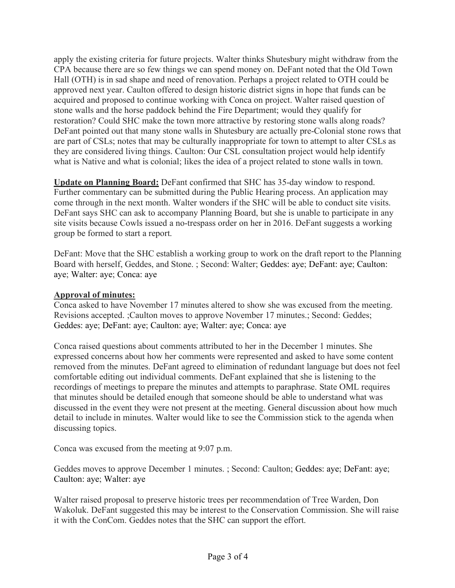apply the existing criteria for future projects. Walter thinks Shutesbury might withdraw from the CPA because there are so few things we can spend money on. DeFant noted that the Old Town Hall (OTH) is in sad shape and need of renovation. Perhaps a project related to OTH could be approved next year. Caulton offered to design historic district signs in hope that funds can be acquired and proposed to continue working with Conca on project. Walter raised question of stone walls and the horse paddock behind the Fire Department; would they qualify for restoration? Could SHC make the town more attractive by restoring stone walls along roads? DeFant pointed out that many stone walls in Shutesbury are actually pre-Colonial stone rows that are part of CSLs; notes that may be culturally inappropriate for town to attempt to alter CSLs as they are considered living things. Caulton: Our CSL consultation project would help identify what is Native and what is colonial; likes the idea of a project related to stone walls in town.

**Update on Planning Board:** DeFant confirmed that SHC has 35-day window to respond. Further commentary can be submitted during the Public Hearing process. An application may come through in the next month. Walter wonders if the SHC will be able to conduct site visits. DeFant says SHC can ask to accompany Planning Board, but she is unable to participate in any site visits because Cowls issued a no-trespass order on her in 2016. DeFant suggests a working group be formed to start a report.

DeFant: Move that the SHC establish a working group to work on the draft report to the Planning Board with herself, Geddes, and Stone. ; Second: Walter; Geddes: aye; DeFant: aye; Caulton: aye; Walter: aye; Conca: aye

## **Approval of minutes:**

Conca asked to have November 17 minutes altered to show she was excused from the meeting. Revisions accepted. ;Caulton moves to approve November 17 minutes.; Second: Geddes; Geddes: aye; DeFant: aye; Caulton: aye; Walter: aye; Conca: aye

Conca raised questions about comments attributed to her in the December 1 minutes. She expressed concerns about how her comments were represented and asked to have some content removed from the minutes. DeFant agreed to elimination of redundant language but does not feel comfortable editing out individual comments. DeFant explained that she is listening to the recordings of meetings to prepare the minutes and attempts to paraphrase. State OML requires that minutes should be detailed enough that someone should be able to understand what was discussed in the event they were not present at the meeting. General discussion about how much detail to include in minutes. Walter would like to see the Commission stick to the agenda when discussing topics.

Conca was excused from the meeting at 9:07 p.m.

Geddes moves to approve December 1 minutes. ; Second: Caulton; Geddes: aye; DeFant: aye; Caulton: aye; Walter: aye

Walter raised proposal to preserve historic trees per recommendation of Tree Warden, Don Wakoluk. DeFant suggested this may be interest to the Conservation Commission. She will raise it with the ConCom. Geddes notes that the SHC can support the effort.